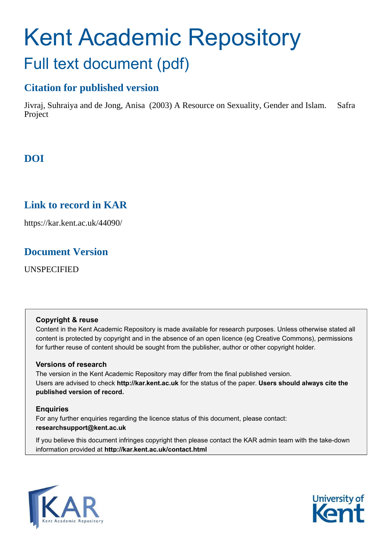# Kent Academic Repository Full text document (pdf)

## **Citation for published version**

Jivraj, Suhraiya and de Jong, Anisa (2003) A Resource on Sexuality, Gender and Islam. Safra Project

## **DOI**

## **Link to record in KAR**

https://kar.kent.ac.uk/44090/

### **Document Version**

UNSPECIFIED

#### **Copyright & reuse**

Content in the Kent Academic Repository is made available for research purposes. Unless otherwise stated all content is protected by copyright and in the absence of an open licence (eg Creative Commons), permissions for further reuse of content should be sought from the publisher, author or other copyright holder.

#### **Versions of research**

The version in the Kent Academic Repository may differ from the final published version. Users are advised to check **http://kar.kent.ac.uk** for the status of the paper. **Users should always cite the published version of record.**

#### **Enquiries**

For any further enquiries regarding the licence status of this document, please contact: **researchsupport@kent.ac.uk**

If you believe this document infringes copyright then please contact the KAR admin team with the take-down information provided at **http://kar.kent.ac.uk/contact.html**



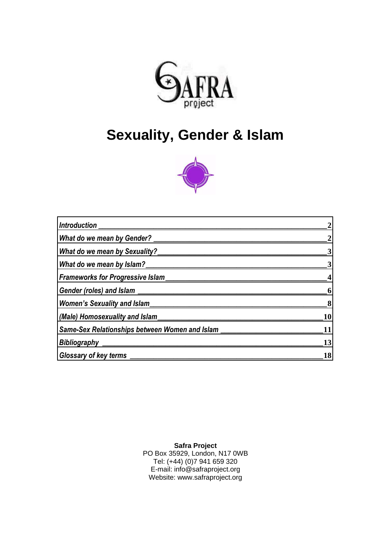<span id="page-1-0"></span>

## **Sexuality, Gender & Islam**



|                                                                                  | <b>10</b> |
|----------------------------------------------------------------------------------|-----------|
| Same-Sex Relationships between Women and Islam _______________________________11 |           |
|                                                                                  |           |
|                                                                                  | <b>18</b> |

<span id="page-1-1"></span>**Safra Project**  PO Box 35929, London, N17 0WB Tel: (+44) (0)7 941 659 320 E-mail: info@safraproject.org Website: www.safraproject.org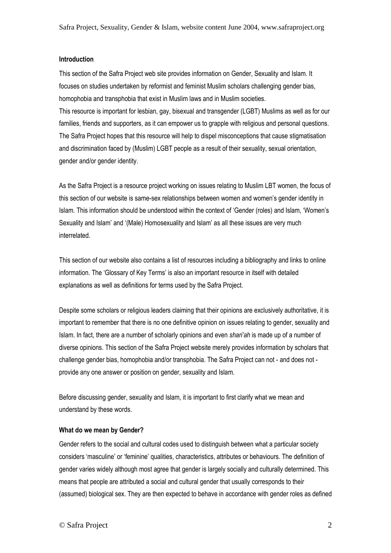#### **Introduction**

This section of the Safra Project web site provides information on Gender, Sexuality and Islam. It focuses on studies undertaken by reformist and feminist Muslim scholars challenging gender bias, homophobia and transphobia that exist in Muslim laws and in Muslim societies.

<span id="page-2-0"></span>This resource is important for lesbian, gay, bisexual and transgender (LGBT) Muslims as well as for our families, friends and supporters, as it can empower us to grapple with religious and personal questions. The Safra Project hopes that this resource will help to dispel misconceptions that cause stigmatisation and discrimination faced by (Muslim) LGBT people as a result of their sexuality, sexual orientation, gender and/or gender identity.

As the Safra Project is a resource project working on issues relating to Muslim LBT women, the focus of this section of our website is same-sex relationships between women and women's gender identity in Islam. This information should be understood within the context of 'Gender (roles) and Islam, 'Women's Sexuality and Islam' and '(Male) Homosexuality and Islam' as all these issues are very much interrelated.

This section of our website also contains a list of resources including a bibliography and links to online information. The 'Glossary of Key Terms' is also an important resource in itself with detailed explanations as well as definitions for terms used by the Safra Project.

<span id="page-2-1"></span>Despite some scholars or religious leaders claiming that their opinions are exclusively authoritative, it is important to remember that there is no one definitive opinion on issues relating to gender, sexuality and Islam. In fact, there are a number of scholarly opinions and even *shari'ah* is made up of a number of diverse opinions. This section of the Safra Project website merely provides information by scholars that challenge gender bias, homophobia and/or transphobia. The Safra Project can not - and does not provide any one answer or position on gender, sexuality and Islam.

Before discussing gender, sexuality and Islam, it is important to first clarify what we mean and understand by these words.

#### **What do we mean by Gender?**

Gender refers to the social and cultural codes used to distinguish between what a particular society considers 'masculine' or 'feminine' qualities, characteristics, attributes or behaviours. The definition of gender varies widely although most agree that gender is largely socially and culturally determined. This means that people are attributed a social and cultural gender that usually corresponds to their (assumed) biological sex. They are then expected to behave in accordance with gender roles as defined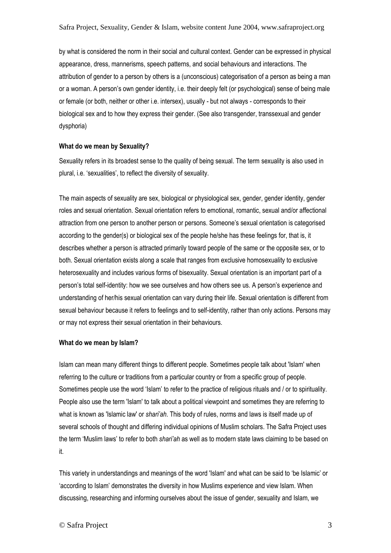by what is considered the norm in their social and cultural context. Gender can be expressed in physical appearance, dress, mannerisms, speech patterns, and social behaviours and interactions. The attribution of gender to a person by others is a (unconscious) categorisation of a person as being a man or a woman. A person's own gender identity, i.e. their deeply felt (or psychological) sense of being male or female (or both, neither or other i.e. intersex), usually - but not always - corresponds to their biological sex and to how they express their gender. (See also transgender, transsexual and gender dysphoria)

#### <span id="page-3-0"></span>**What do we mean by Sexuality?**

Sexuality refers in its broadest sense to the quality of being sexual. The term sexuality is also used in plural, i.e. 'sexualities', to reflect the diversity of sexuality.

The main aspects of sexuality are sex, biological or physiological sex, gender, gender identity, gender roles and sexual orientation. Sexual orientation refers to emotional, romantic, sexual and/or affectional attraction from one person to another person or persons. Someone's sexual orientation is categorised according to the gender(s) or biological sex of the people he/she has these feelings for, that is, it describes whether a person is attracted primarily toward people of the same or the opposite sex, or to both. Sexual orientation exists along a scale that ranges from exclusive homosexuality to exclusive heterosexuality and includes various forms of bisexuality. Sexual orientation is an important part of a person's total self-identity: how we see ourselves and how others see us. A person's experience and understanding of her/his sexual orientation can vary during their life. Sexual orientation is different from sexual behaviour because it refers to feelings and to self-identity, rather than only actions. Persons may or may not express their sexual orientation in their behaviours.

#### **What do we mean by Islam?**

Islam can mean many different things to different people. Sometimes people talk about 'Islam' when referring to the culture or traditions from a particular country or from a specific group of people. Sometimes people use the word 'Islam' to refer to the practice of religious rituals and / or to spirituality. People also use the term 'Islam' to talk about a political viewpoint and sometimes they are referring to what is known as 'Islamic law' or *shari'ah*. This body of rules, norms and laws is itself made up of several schools of thought and differing individual opinions of Muslim scholars. The Safra Project uses the term 'Muslim laws' to refer to both *shari'ah* as well as to modern state laws claiming to be based on it.

This variety in understandings and meanings of the word 'Islam' and what can be said to 'be Islamic' or 'according to Islam' demonstrates the diversity in how Muslims experience and view Islam. When discussing, researching and informing ourselves about the issue of gender, sexuality and Islam, we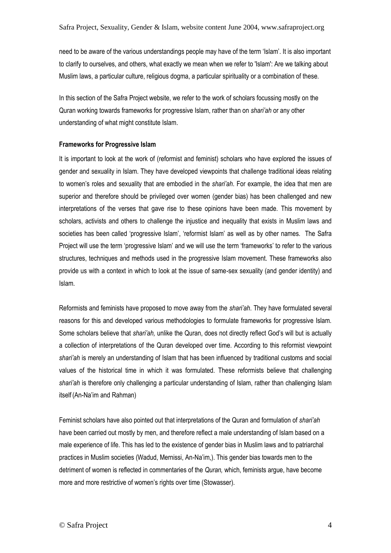need to be aware of the various understandings people may have of the term 'Islam'. It is also important to clarify to ourselves, and others, what exactly we mean when we refer to 'Islam': Are we talking about Muslim laws, a particular culture, religious dogma, a particular spirituality or a combination of these.

In this section of the Safra Project website, we refer to the work of scholars focussing mostly on the Quran working towards frameworks for progressive Islam, rather than on *shari'ah* or any other understanding of what might constitute Islam.

#### **Frameworks for Progressive Islam**

It is important to look at the work of (reformist and feminist) scholars who have explored the issues of gender and sexuality in Islam. They have developed viewpoints that challenge traditional ideas relating to women's roles and sexuality that are embodied in the *shari'ah*. For example, the idea that men are superior and therefore should be privileged over women (gender bias) has been challenged and new interpretations of the verses that gave rise to these opinions have been made. This movement by scholars, activists and others to challenge the injustice and inequality that exists in Muslim laws and societies has been called 'progressive Islam', 'reformist Islam' as well as by other names. The Safra Project will use the term 'progressive Islam' and we will use the term 'frameworks' to refer to the various structures, techniques and methods used in the progressive Islam movement. These frameworks also provide us with a context in which to look at the issue of same-sex sexuality (and gender identity) and Islam.

Reformists and feminists have proposed to move away from the *shari'ah*. They have formulated several reasons for this and developed various methodologies to formulate frameworks for progressive Islam. Some scholars believe that *shari'ah,* unlike the Quran, does not directly reflect God's will but is actually a collection of interpretations of the Quran developed over time. According to this reformist viewpoint *shari'ah* is merely an understanding of Islam that has been influenced by traditional customs and social values of the historical time in which it was formulated. These reformists believe that challenging *shari'ah* is therefore only challenging a particular understanding of Islam, rather than challenging Islam itself (An-Na'im and Rahman)

Feminist scholars have also pointed out that interpretations of the Quran and formulation of *shari'ah* have been carried out mostly by men, and therefore reflect a male understanding of Islam based on a male experience of life. This has led to the existence of gender bias in Muslim laws and to patriarchal practices in Muslim societies (Wadud, Mernissi, An-Na'im,). This gender bias towards men to the detriment of women is reflected in commentaries of the *Quran,* which, feminists argue, have become more and more restrictive of women's rights over time (Stowasser).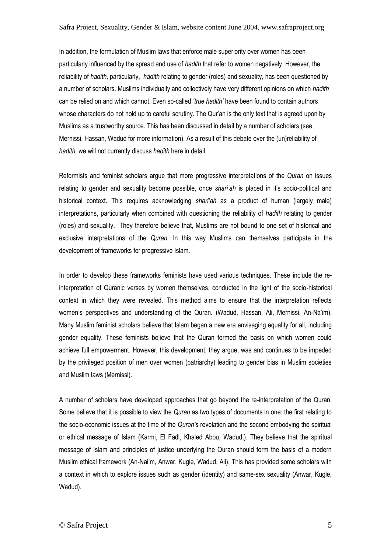<span id="page-5-0"></span>In addition, the formulation of Muslim laws that enforce male superiority over women has been particularly influenced by the spread and use of *hadith* that refer to women negatively. However, the reliability of *hadith,* particularly, *hadith* relating to gender (roles) and sexuality, has been questioned by a number of scholars. Muslims individually and collectively have very different opinions on which *hadith* can be relied on and which cannot. Even so-called *'true hadith'* have been found to contain authors whose characters do not hold up to careful scrutiny. The Qur'an is the only text that is agreed upon by Muslims as a trustworthy source. This has been discussed in detail by a number of scholars (see Mernissi, Hassan, Wadud for more information). As a result of this debate over the (un)reliability of *hadith,* we will not currently discuss *hadith* here in detail.

Reformists and feminist scholars argue that more progressive interpretations of the *Quran* on issues relating to gender and sexuality become possible, once *shari'ah* is placed in it's socio-political and historical context. This requires acknowledging *shari'ah* as a product of human (largely male) interpretations, particularly when combined with questioning the reliability of *hadith* relating to gender (roles) and sexuality. They therefore believe that, Muslims are not bound to one set of historical and exclusive interpretations of the *Quran*. In this way Muslims can themselves participate in the development of frameworks for progressive Islam.

In order to develop these frameworks feminists have used various techniques. These include the reinterpretation of Quranic verses by women themselves, conducted in the light of the socio-historical context in which they were revealed. This method aims to ensure that the interpretation reflects women's perspectives and understanding of the Quran. (Wadud, Hassan, Ali, Mernissi, An-Na'im). Many Muslim feminist scholars believe that Islam began a new era envisaging equality for all, including gender equality. These feminists believe that the Quran formed the basis on which women could achieve full empowerment. However, this development, they argue, was and continues to be impeded by the privileged position of men over women (patriarchy) leading to gender bias in Muslim societies and Muslim laws (Mernissi).

A number of scholars have developed approaches that go beyond the re-interpretation of the Quran. Some believe that it is possible to view the *Quran* as two types of documents in one: the first relating to the socio-economic issues at the time of the *Quran's* revelation and the second embodying the spiritual or ethical message of Islam (Karmi, El Fadl, Khaled Abou, Wadud,). They believe that the spiritual message of Islam and principles of justice underlying the Quran should form the basis of a modern Muslim ethical framework (An-Nai'm, Anwar, Kugle, Wadud, Ali). This has provided some scholars with a context in which to explore issues such as gender (identity) and same-sex sexuality (Anwar, Kugle, Wadud).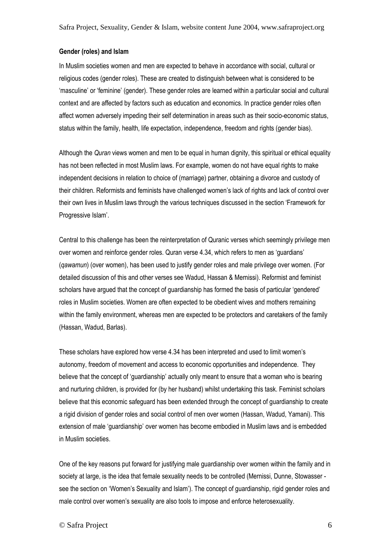#### **Gender (roles) and Islam**

In Muslim societies women and men are expected to behave in accordance with social, cultural or religious codes (gender roles). These are created to distinguish between what is considered to be 'masculine' or 'feminine' (gender). These gender roles are learned within a particular social and cultural context and are affected by factors such as education and economics. In practice gender roles often affect women adversely impeding their self determination in areas such as their socio-economic status, status within the family, health, life expectation, independence, freedom and rights (gender bias).

Although the *Quran* views women and men to be equal in human dignity, this spiritual or ethical equality has not been reflected in most Muslim laws. For example, women do not have equal rights to make independent decisions in relation to choice of (marriage) partner, obtaining a divorce and custody of their children. Reformists and feminists have challenged women's lack of rights and lack of control over their own lives in Muslim laws through the various techniques discussed in the section 'Framework for Progressive Islam'.

Central to this challenge has been the reinterpretation of Quranic verses which seemingly privilege men over women and reinforce gender roles. Quran verse 4.34, which refers to men as 'guardians' (*qawamun*) (over women), has been used to justify gender roles and male privilege over women. (For detailed discussion of this and other verses see Wadud, Hassan & Mernissi). Reformist and feminist scholars have argued that the concept of guardianship has formed the basis of particular 'gendered' roles in Muslim societies. Women are often expected to be obedient wives and mothers remaining within the family environment, whereas men are expected to be protectors and caretakers of the family (Hassan, Wadud, Barlas).

These scholars have explored how verse 4.34 has been interpreted and used to limit women's autonomy, freedom of movement and access to economic opportunities and independence. They believe that the concept of 'guardianship' actually only meant to ensure that a woman who is bearing and nurturing children, is provided for (by her husband) whilst undertaking this task. Feminist scholars believe that this economic safeguard has been extended through the concept of guardianship to create a rigid division of gender roles and social control of men over women (Hassan, Wadud, Yamani). This extension of male 'guardianship' over women has become embodied in Muslim laws and is embedded in Muslim societies.

One of the key reasons put forward for justifying male guardianship over women within the family and in society at large, is the idea that female sexuality needs to be controlled (Mernissi, Dunne, Stowasser see the section on 'Women's Sexuality and Islam'). The concept of guardianship, rigid gender roles and male control over women's sexuality are also tools to impose and enforce heterosexuality.

#### © Safra Project 6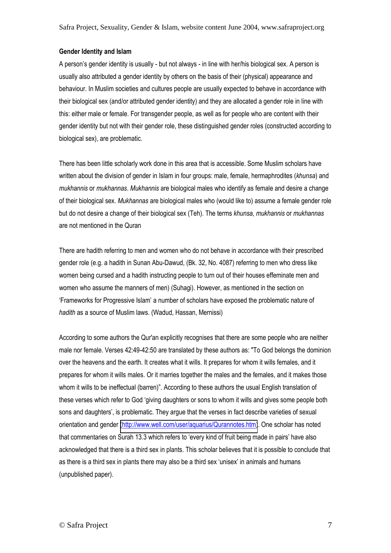#### **Gender Identity and Islam**

A person's gender identity is usually - but not always - in line with her/his biological sex. A person is usually also attributed a gender identity by others on the basis of their (physical) appearance and behaviour. In Muslim societies and cultures people are usually expected to behave in accordance with their biological sex (and/or attributed gender identity) and they are allocated a gender role in line with this: either male or female. For transgender people, as well as for people who are content with their gender identity but not with their gender role, these distinguished gender roles (constructed according to biological sex), are problematic.

There has been little scholarly work done in this area that is accessible. Some Muslim scholars have written about the division of gender in Islam in four groups: male, female, hermaphrodites (*khunsa*) and *mukhannis* or *mukhannas*. *Mukhannis* are biological males who identify as female and desire a change of their biological sex. *Mukhannas* are biological males who (would like to) assume a female gender role but do not desire a change of their biological sex (Teh). The terms *khunsa*, *mukhannis* or *mukhannas* are not mentioned in the Quran

<span id="page-7-0"></span>There are hadith referring to men and women who do not behave in accordance with their prescribed gender role (e.g. a hadith in Sunan Abu-Dawud, (Bk. 32, No. 4087) referring to men who dress like women being cursed and a hadith instructing people to turn out of their houses effeminate men and women who assume the manners of men) (Suhagi). However, as mentioned in the section on 'Frameworks for Progressive Islam' a number of scholars have exposed the problematic nature of *hadith* as a source of Muslim laws. (Wadud, Hassan, Mernissi)

According to some authors the Qur'an explicitly recognises that there are some people who are neither male nor female. Verses 42:49-42:50 are translated by these authors as: "To God belongs the dominion over the heavens and the earth. It creates what it wills. It prepares for whom it wills females, and it prepares for whom it wills males. Or it marries together the males and the females, and it makes those whom it wills to be ineffectual (barren)". According to these authors the usual English translation of these verses which refer to God 'giving daughters or sons to whom it wills and gives some people both sons and daughters', is problematic. They argue that the verses in fact describe varieties of sexual orientation and gender [\(http://www.well.com/user/aquarius/Qurannotes.htm\)](http://www.well.com/user/aquarius/Qurannotes.htm). One scholar has noted that commentaries on Surah 13.3 which refers to 'every kind of fruit being made in pairs' have also acknowledged that there is a third sex in plants. This scholar believes that it is possible to conclude that as there is a third sex in plants there may also be a third sex 'unisex' in animals and humans (unpublished paper).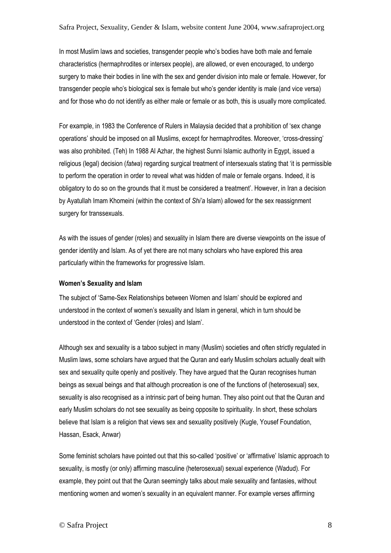In most Muslim laws and societies, transgender people who's bodies have both male and female characteristics (hermaphrodites or intersex people), are allowed, or even encouraged, to undergo surgery to make their bodies in line with the sex and gender division into male or female. However, for transgender people who's biological sex is female but who's gender identity is male (and vice versa) and for those who do not identify as either male or female or as both, this is usually more complicated.

For example, in 1983 the Conference of Rulers in Malaysia decided that a prohibition of 'sex change operations' should be imposed on all Muslims, except for hermaphrodites. Moreover, 'cross-dressing' was also prohibited. (Teh) In 1988 Al Azhar, the highest Sunni Islamic authority in Egypt, issued a religious (legal) decision (*fatwa*) regarding surgical treatment of intersexuals stating that 'it is permissible to perform the operation in order to reveal what was hidden of male or female organs. Indeed, it is obligatory to do so on the grounds that it must be considered a treatment'. However, in Iran a decision by Ayatullah Imam Khomeini (within the context of *Shi'a* Islam) allowed for the sex reassignment surgery for transsexuals.

As with the issues of gender (roles) and sexuality in Islam there are diverse viewpoints on the issue of gender identity and Islam. As of yet there are not many scholars who have explored this area particularly within the frameworks for progressive Islam.

#### **Women's Sexuality and Islam**

The subject of 'Same-Sex Relationships between Women and Islam' should be explored and understood in the context of women's sexuality and Islam in general, which in turn should be understood in the context of 'Gender (roles) and Islam'.

Although sex and sexuality is a taboo subject in many (Muslim) societies and often strictly regulated in Muslim laws, some scholars have argued that the Quran and early Muslim scholars actually dealt with sex and sexuality quite openly and positively. They have argued that the Quran recognises human beings as sexual beings and that although procreation is one of the functions of (heterosexual) sex, sexuality is also recognised as a intrinsic part of being human. They also point out that the Quran and early Muslim scholars do not see sexuality as being opposite to spirituality. In short, these scholars believe that Islam is a religion that views sex and sexuality positively (Kugle, Yousef Foundation, Hassan, Esack, Anwar)

Some feminist scholars have pointed out that this so-called 'positive' or 'affirmative' Islamic approach to sexuality, is mostly (or only) affirming masculine (heterosexual) sexual experience (Wadud). For example, they point out that the Quran seemingly talks about male sexuality and fantasies, without mentioning women and women's sexuality in an equivalent manner. For example verses affirming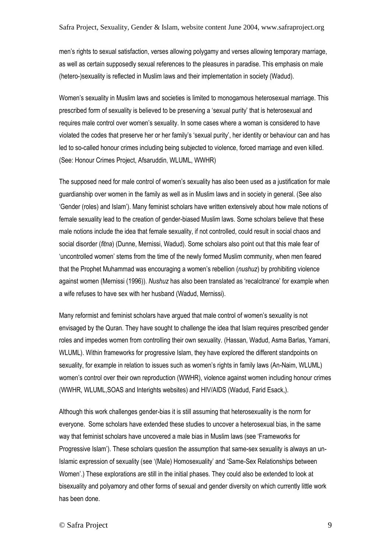<span id="page-9-0"></span>men's rights to sexual satisfaction, verses allowing polygamy and verses allowing temporary marriage, as well as certain supposedly sexual references to the pleasures in paradise. This emphasis on male (hetero-)sexuality is reflected in Muslim laws and their implementation in society (Wadud).

Women's sexuality in Muslim laws and societies is limited to monogamous heterosexual marriage. This prescribed form of sexuality is believed to be preserving a 'sexual purity' that is heterosexual and requires male control over women's sexuality. In some cases where a woman is considered to have violated the codes that preserve her or her family's 'sexual purity', her identity or behaviour can and has led to so-called honour crimes including being subjected to violence, forced marriage and even killed. (See: Honour Crimes Project, Afsaruddin, WLUML, WWHR)

The supposed need for male control of women's sexuality has also been used as a justification for male guardianship over women in the family as well as in Muslim laws and in society in general. (See also 'Gender (roles) and Islam'). Many feminist scholars have written extensively about how male notions of female sexuality lead to the creation of gender-biased Muslim laws. Some scholars believe that these male notions include the idea that female sexuality, if not controlled, could result in social chaos and social disorder (*fitna*) (Dunne, Mernissi, Wadud). Some scholars also point out that this male fear of 'uncontrolled women' stems from the time of the newly formed Muslim community, when men feared that the Prophet Muhammad was encouraging a women's rebellion (*nushuz*) by prohibiting violence against women (Mernissi (1996)). *Nushuz* has also been translated as 'recalcitrance' for example when a wife refuses to have sex with her husband (Wadud, Mernissi).

Many reformist and feminist scholars have argued that male control of women's sexuality is not envisaged by the Quran. They have sought to challenge the idea that Islam requires prescribed gender roles and impedes women from controlling their own sexuality. (Hassan, Wadud, Asma Barlas, Yamani, WLUML). Within frameworks for progressive Islam, they have explored the different standpoints on sexuality, for example in relation to issues such as women's rights in family laws (An-Naim, WLUML) women's control over their own reproduction (WWHR), violence against women including honour crimes (WWHR, WLUML,SOAS and Interights websites) and HIV/AIDS (Wadud, Farid Esack,).

Although this work challenges gender-bias it is still assuming that heterosexuality is the norm for everyone. Some scholars have extended these studies to uncover a heterosexual bias, in the same way that feminist scholars have uncovered a male bias in Muslim laws (see 'Frameworks for Progressive Islam'). These scholars question the assumption that same-sex sexuality is always an un-Islamic expression of sexuality (see '(Male) Homosexuality' and 'Same-Sex Relationships between Women'.) These explorations are still in the initial phases. They could also be extended to look at bisexuality and polyamory and other forms of sexual and gender diversity on which currently little work has been done.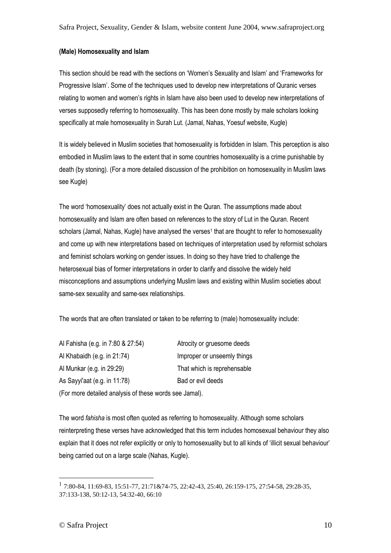#### **(Male) Homosexuality and Islam**

This section should be read with the sections on 'Women's Sexuality and Islam' and 'Frameworks for Progressive Islam'. Some of the techniques used to develop new interpretations of Quranic verses relating to women and women's rights in Islam have also been used to develop new interpretations of verses supposedly referring to homosexuality. This has been done mostly by male scholars looking specifically at male homosexuality in Surah Lut. (Jamal, Nahas, Yoesuf website, Kugle)

It is widely believed in Muslim societies that homosexuality is forbidden in Islam. This perception is also embodied in Muslim laws to the extent that in some countries homosexuality is a crime punishable by death (by stoning). (For a more detailed discussion of the prohibition on homosexuality in Muslim laws see Kugle)

The word 'homosexuality' does not actually exist in the Quran. The assumptions made about homosexuality and Islam are often based on references to the story of Lut in the Quran. Recent scholars (Jamal, Nahas, Kugle) have analysed the verses<sup>1</sup> that are thought to refer to homosexuality and come up with new interpretations based on techniques of interpretation used by reformist scholars and feminist scholars working on gender issues. In doing so they have tried to challenge the heterosexual bias of former interpretations in order to clarify and dissolve the widely held misconceptions and assumptions underlying Muslim laws and existing within Muslim societies about same-sex sexuality and same-sex relationships.

<span id="page-10-0"></span>The words that are often translated or taken to be referring to (male) homosexuality include:

| Al Fahisha (e.g. in 7:80 & 27:54) | Atrocity or gruesome deeds  |
|-----------------------------------|-----------------------------|
| Al Khabaidh (e.g. in 21:74)       | Improper or unseemly things |
| Al Munkar (e.g. in 29:29)         | That which is reprehensable |
| As Sayyi'aat (e.g. in $11:78$ )   | Bad or evil deeds           |
|                                   |                             |

(For more detailed analysis of these words see Jamal).

The word *fahisha* is most often quoted as referring to homosexuality. Although some scholars reinterpreting these verses have acknowledged that this term includes homosexual behaviour they also explain that it does not refer explicitly or only to homosexuality but to all kinds of 'illicit sexual behaviour' being carried out on a large scale (Nahas, Kugle).

<u>.</u>

<sup>1</sup> 7:80-84, 11:69-83, 15:51-77, 21:71&74-75, 22:42-43, 25:40, 26:159-175, 27:54-58, 29:28-35, 37:133-138, 50:12-13, 54:32-40, 66:10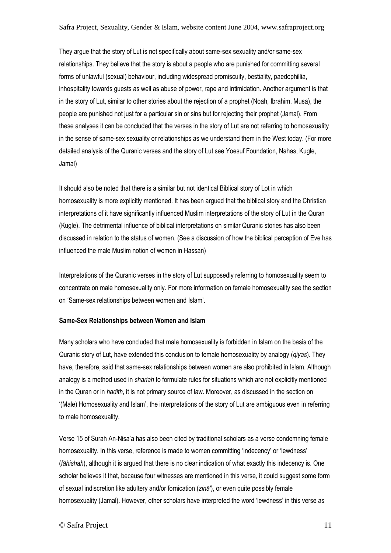They argue that the story of Lut is not specifically about same-sex sexuality and/or same-sex relationships. They believe that the story is about a people who are punished for committing several forms of unlawful (sexual) behaviour, including widespread promiscuity, bestiality, paedophillia, inhospitality towards guests as well as abuse of power, rape and intimidation. Another argument is that in the story of Lut, similar to other stories about the rejection of a prophet (Noah, Ibrahim, Musa), the people are punished not just for a particular sin or sins but for rejecting their prophet (Jamal). From these analyses it can be concluded that the verses in the story of Lut are not referring to homosexuality in the sense of same-sex sexuality or relationships as we understand them in the West today. (For more detailed analysis of the Quranic verses and the story of Lut see Yoesuf Foundation, Nahas, Kugle, Jamal)

It should also be noted that there is a similar but not identical Biblical story of Lot in which homosexuality is more explicitly mentioned. It has been argued that the biblical story and the Christian interpretations of it have significantly influenced Muslim interpretations of the story of Lut in the Quran (Kugle). The detrimental influence of biblical interpretations on similar Quranic stories has also been discussed in relation to the status of women. (See a discussion of how the biblical perception of Eve has influenced the male Muslim notion of women in Hassan)

Interpretations of the Quranic verses in the story of Lut supposedly referring to homosexuality seem to concentrate on male homosexuality only. For more information on female homosexuality see the section on 'Same-sex relationships between women and Islam'.

#### **Same-Sex Relationships between Women and Islam**

Many scholars who have concluded that male homosexuality is forbidden in Islam on the basis of the Quranic story of Lut, have extended this conclusion to female homosexuality by analogy (*qiyas*). They have, therefore, said that same-sex relationships between women are also prohibited in Islam. Although analogy is a method used in *shariah* to formulate rules for situations which are not explicitly mentioned in the Quran or in *hadith*, it is not primary source of law. Moreover, as discussed in the section on '(Male) Homosexuality and Islam', the interpretations of the story of Lut are ambiguous even in referring to male homosexuality.

Verse 15 of Surah An-Nisa'a has also been cited by traditional scholars as a verse condemning female homosexuality. In this verse, reference is made to women committing 'indecency' or 'lewdness' (*fダhishah*), although it is argued that there is no clear indication of what exactly this indecency is. One scholar believes it that, because four witnesses are mentioned in this verse, it could suggest some form of sexual indiscretion like adultery and/or fornication (*zinダ'*), or even quite possibly female homosexuality (Jamal). However, other scholars have interpreted the word 'lewdness' in this verse as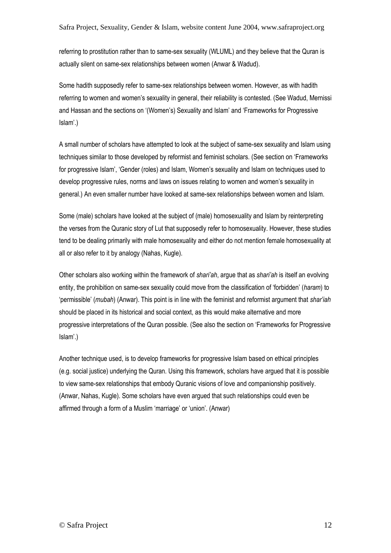<span id="page-12-0"></span>referring to prostitution rather than to same-sex sexuality (WLUML) and they believe that the Quran is actually silent on same-sex relationships between women (Anwar & Wadud).

Some hadith supposedly refer to same-sex relationships between women. However, as with hadith referring to women and women's sexuality in general, their reliability is contested. (See Wadud, Mernissi and Hassan and the sections on '(Women's) Sexuality and Islam' and 'Frameworks for Progressive Islam'.)

A small number of scholars have attempted to look at the subject of same-sex sexuality and Islam using techniques similar to those developed by reformist and feminist scholars. (See section on 'Frameworks for progressive Islam', 'Gender (roles) and Islam, Women's sexuality and Islam on techniques used to develop progressive rules, norms and laws on issues relating to women and women's sexuality in general.) An even smaller number have looked at same-sex relationships between women and Islam.

Some (male) scholars have looked at the subject of (male) homosexuality and Islam by reinterpreting the verses from the Quranic story of Lut that supposedly refer to homosexuality. However, these studies tend to be dealing primarily with male homosexuality and either do not mention female homosexuality at all or also refer to it by analogy (Nahas, Kugle).

Other scholars also working within the framework of *shari'ah*, argue that as *shari'ah* is itself an evolving entity, the prohibition on same-sex sexuality could move from the classification of 'forbidden' (*haram*) to 'permissible' (*mubah*) (Anwar). This point is in line with the feminist and reformist argument that *shar'iah* should be placed in its historical and social context, as this would make alternative and more progressive interpretations of the Quran possible. (See also the section on 'Frameworks for Progressive Islam'.)

Another technique used, is to develop frameworks for progressive Islam based on ethical principles (e.g. social justice) underlying the Quran. Using this framework, scholars have argued that it is possible to view same-sex relationships that embody Quranic visions of love and companionship positively. (Anwar, Nahas, Kugle). Some scholars have even argued that such relationships could even be affirmed through a form of a Muslim 'marriage' or 'union'. (Anwar)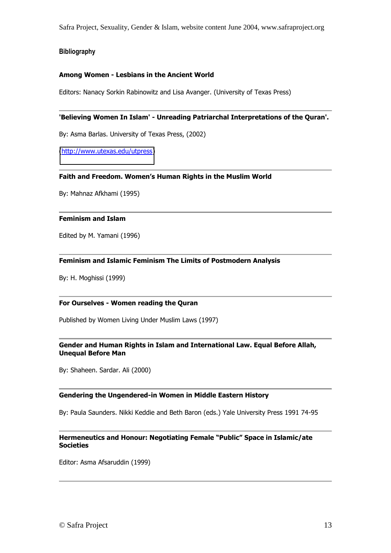**Bibliography** 

#### **Among Women - Lesbians in the Ancient World**

Editors: Nanacy Sorkin Rabinowitz and Lisa Avanger. (University of Texas Press)

#### **'Believing Women In Islam' - Unreading Patriarchal Interpretations of the Quran'.**

By: Asma Barlas. University of Texas Press, (2002)

[\(http://www.utexas.edu/utpress\)](http://www.utexas.edu/utpress)

#### **Faith and Freedom. Women's Human Rights in the Muslim World**

By: Mahnaz Afkhami (1995)

#### **Feminism and Islam**

Edited by M. Yamani (1996)

#### **Feminism and Islamic Feminism The Limits of Postmodern Analysis**

By: H. Moghissi (1999)

#### **For Ourselves - Women reading the Quran**

Published by Women Living Under Muslim Laws (1997)

#### **Gender and Human Rights in Islam and International Law. Equal Before Allah, Unequal Before Man**

By: Shaheen. Sardar. Ali (2000)

#### **Gendering the Ungendered-in Women in Middle Eastern History**

By: Paula Saunders. Nikki Keddie and Beth Baron (eds.) Yale University Press 1991 74-95

#### **Hermeneutics and Honour: Negotiating Female "Public" Space in Islamic/ate Societies**

Editor: Asma Afsaruddin (1999)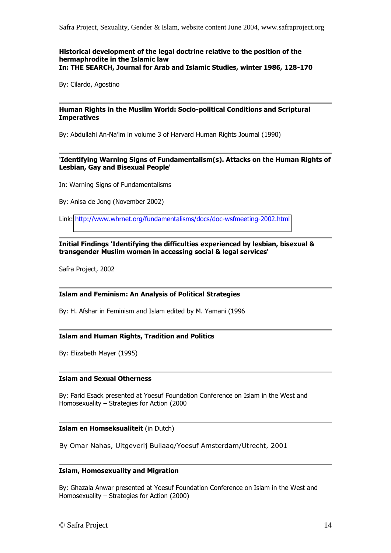#### **Historical development of the legal doctrine relative to the position of the hermaphrodite in the Islamic law In: THE SEARCH, Journal for Arab and Islamic Studies, winter 1986, 128-170**

By: Cilardo, Agostino

#### **Human Rights in the Muslim World: Socio-political Conditions and Scriptural Imperatives**

By: Abdullahi An-Na'im in volume 3 of Harvard Human Rights Journal (1990)

#### **'Identifying Warning Signs of Fundamentalism(s). Attacks on the Human Rights of Lesbian, Gay and Bisexual People'**

In: Warning Signs of Fundamentalisms

By: Anisa de Jong (November 2002)

Link:<http://www.whrnet.org/fundamentalisms/docs/doc-wsfmeeting-2002.html>

#### **Initial Findings 'Identifying the difficulties experienced by lesbian, bisexual & transgender Muslim women in accessing social & legal services'**

Safra Project, 2002

#### **Islam and Feminism: An Analysis of Political Strategies**

By: H. Afshar in Feminism and Islam edited by M. Yamani (1996

#### **Islam and Human Rights, Tradition and Politics**

By: Elizabeth Mayer (1995)

#### **Islam and Sexual Otherness**

By: Farid Esack presented at Yoesuf Foundation Conference on Islam in the West and Homosexuality – Strategies for Action (2000

#### **Islam en Homseksualiteit** (in Dutch)

By Omar Nahas, Uitgeverij Bullaaq/Yoesuf Amsterdam/Utrecht, 2001

#### **Islam, Homosexuality and Migration**

By: Ghazala Anwar presented at Yoesuf Foundation Conference on Islam in the West and Homosexuality – Strategies for Action (2000)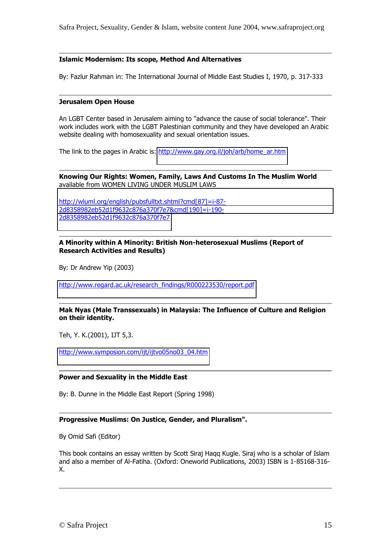#### **Islamic Modernism: Its scope, Method And Alternatives**

By: Fazlur Rahman in: The International Journal of Middle East Studies I, 1970, p. 317-333

#### **Jerusalem Open House**

An LGBT Center based in Jerusalem aiming to "advance the cause of social tolerance". Their work includes work with the LGBT Palestinian community and they have developed an Arabic website dealing with homosexuality and sexual orientation issues.

The link to the pages in Arabic is: [http://www.gay.org.il/joh/arb/home\\_ar.htm](http://www.gay.org.il/joh/arb/home_ar.htm)

#### **Knowing Our Rights: Women, Family, Laws And Customs In The Muslim World** available from WOMEN LIVING UNDER MUSLIM LAWS

[http://wluml.org/english/pubsfulltxt.shtml?cmd\[87\]=i-87-](http://wluml.org/english/pubsfulltxt.shtml?cmd%5B87%5D=i-87-2d8358982eb52d1f9632c876a370f7e7&cmd%5B190%5D=i-190-2d8358982eb52d1f9632c876a370f7e7) [2d8358982eb52d1f9632c876a370f7e7&cmd\[190\]=i-190-](http://wluml.org/english/pubsfulltxt.shtml?cmd%5B87%5D=i-87-2d8358982eb52d1f9632c876a370f7e7&cmd%5B190%5D=i-190-2d8358982eb52d1f9632c876a370f7e7) [2d8358982eb52d1f9632c876a370f7e7](http://wluml.org/english/pubsfulltxt.shtml?cmd%5B87%5D=i-87-2d8358982eb52d1f9632c876a370f7e7&cmd%5B190%5D=i-190-2d8358982eb52d1f9632c876a370f7e7)

#### **A Minority within A Minority: British Non-heterosexual Muslims (Report of Research Activities and Results)**

By: Dr Andrew Yip (2003)

[http://www.regard.ac.uk/research\\_findings/R000223530/report.pdf](http://www.regard.ac.uk/research_findings/R000223530/report.pdf)

#### **Mak Nyas (Male Transsexuals) in Malaysia: The Influence of Culture and Religion on their identity.**

Teh, Y. K.(2001), IJT 5,3.

[http://www.symposion.com/ijt/ijtvo05no03\\_04.htm](http://www.symposion.com/ijt/ijtvo05no03_04.htm)

#### **Power and Sexuality in the Middle East**

By: B. Dunne in the Middle East Report (Spring 1998)

#### **Progressive Muslims: On Justice, Gender, and Pluralism".**

By Omid Safi (Editor)

This book contains an essay written by Scott Siraj Haqq Kugle. Siraj who is a scholar of Islam and also a member of Al-Fatiha. (Oxford: Oneworld Publications, 2003) ISBN is 1-85168-316- X.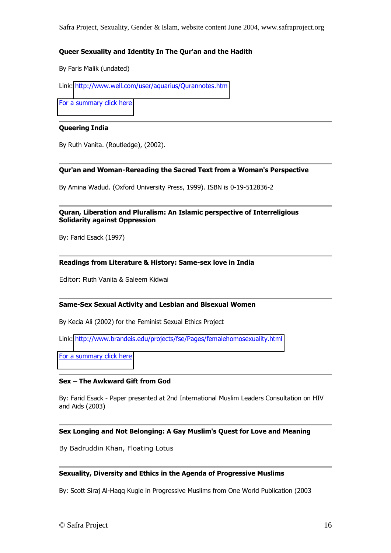#### **Queer Sexuality and Identity In The Qur'an and the Hadith**

By Faris Malik (undated)

Link:<http://www.well.com/user/aquarius/Qurannotes.htm>

[For a summary click here](http://www.safraproject.org/bibliography_sgibfm.htm)

#### **Queering India**

By Ruth Vanita. (Routledge), (2002).

#### **Qur'an and Woman-Rereading the Sacred Text from a Woman's Perspective**

By Amina Wadud. (Oxford University Press, 1999). ISBN is 0-19-512836-2

#### **Quran, Liberation and Pluralism: An Islamic perspective of Interreligious Solidarity against Oppression**

By: Farid Esack (1997)

#### **Readings from Literature & History: Same-sex love in India**

Editor: Ruth Vanita & Saleem Kidwai

#### **Same-Sex Sexual Activity and Lesbian and Bisexual Women**

By Kecia Ali (2002) for the Feminist Sexual Ethics Project

Link:<http://www.brandeis.edu/projects/fse/Pages/femalehomosexuality.html>

[For a summary click here](http://www.safraproject.org/bibliography_sgibka.htm)

#### **Sex – The Awkward Gift from God**

By: Farid Esack - Paper presented at 2nd International Muslim Leaders Consultation on HIV and Aids (2003)

#### **Sex Longing and Not Belonging: A Gay Muslim's Quest for Love and Meaning**

By Badruddin Khan, Floating Lotus

#### **Sexuality, Diversity and Ethics in the Agenda of Progressive Muslims**

By: Scott Siraj Al-Haqq Kugle in Progressive Muslims from One World Publication (2003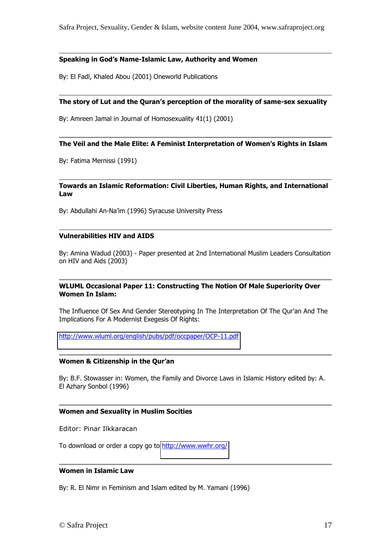#### **Speaking in God's Name-Islamic Law, Authority and Women**

By: El Fadl, Khaled Abou (2001) Oneworld Publications

#### **The story of Lut and the Quran's perception of the morality of same-sex sexuality**

By: Amreen Jamal in Journal of Homosexuality 41(1) (2001)

#### **The Veil and the Male Elite: A Feminist Interpretation of Women's Rights in Islam**

By: Fatima Mernissi (1991)

#### **Towards an Islamic Reformation: Civil Liberties, Human Rights, and International Law**

By: Abdullahi An-Na'im (1996) Syracuse University Press

#### **Vulnerabilities HIV and AIDS**

<span id="page-17-0"></span>By: Amina Wadud (2003) - Paper presented at 2nd International Muslim Leaders Consultation on HIV and Aids (2003)

#### **WLUML Occasional Paper 11: Constructing The Notion Of Male Superiority Over Women In Islam:**

The Influence Of Sex And Gender Stereotyping In The Interpretation Of The Qur'an And The Implications For A Modernist Exegesis Of Rights:

<http://www.wluml.org/english/pubs/pdf/occpaper/OCP-11.pdf>

#### **Women & Citizenship in the Qur'an**

By: B.F. Stowasser in: Women, the Family and Divorce Laws in Islamic History edited by: A. El Azhary Sonbol (1996)

#### **Women and Sexuality in Muslim Socities**

Editor: Pinar Ilkkaracan

To download or order a copy go to<http://www.wwhr.org/>

#### **Women in Islamic Law**

By: R. El Nimr in Feminism and Islam edited by M. Yamani (1996)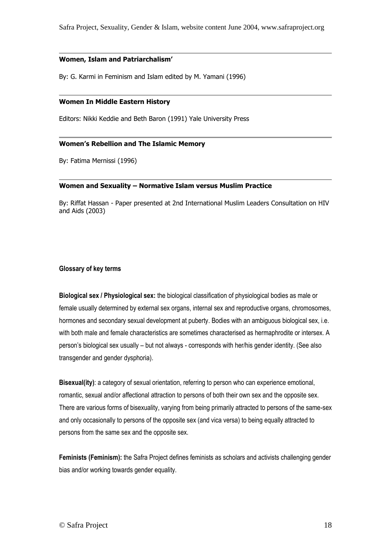#### **Women, Islam and Patriarchalism'**

By: G. Karmi in Feminism and Islam edited by M. Yamani (1996)

#### **Women In Middle Eastern History**

Editors: Nikki Keddie and Beth Baron (1991) Yale University Press

#### **Women's Rebellion and The Islamic Memory**

By: Fatima Mernissi (1996)

#### **Women and Sexuality – Normative Islam versus Muslim Practice**

By: Riffat Hassan - Paper presented at 2nd International Muslim Leaders Consultation on HIV and Aids (2003)

#### **Glossary of key terms**

**Biological sex / Physiological sex:** the biological classification of physiological bodies as male or female usually determined by external sex organs, internal sex and reproductive organs, chromosomes, hormones and secondary sexual development at puberty. Bodies with an ambiguous biological sex, i.e. with both male and female characteristics are sometimes characterised as hermaphrodite or intersex. A person's biological sex usually – but not always - corresponds with her/his gender identity. (See also transgender and gender dysphoria).

**Bisexual(ity)**: a category of sexual orientation, referring to person who can experience emotional, romantic, sexual and/or affectional attraction to persons of both their own sex and the opposite sex. There are various forms of bisexuality, varying from being primarily attracted to persons of the same-sex and only occasionally to persons of the opposite sex (and vica versa) to being equally attracted to persons from the same sex and the opposite sex.

**Feminists (Feminism):** the Safra Project defines feminists as scholars and activists challenging gender bias and/or working towards gender equality.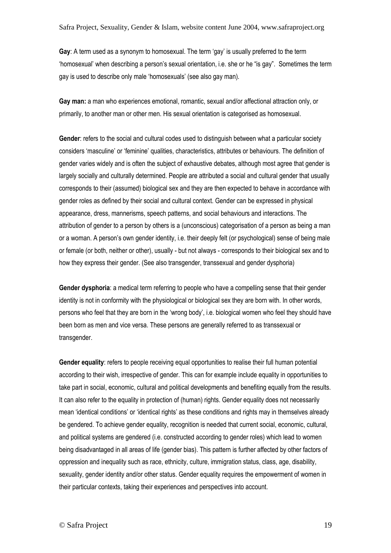**Gay**: A term used as a synonym to homosexual. The term 'gay' is usually preferred to the term 'homosexual' when describing a person's sexual orientation, i.e. she or he "is gay". Sometimes the term gay is used to describe only male 'homosexuals' (see also gay man).

**Gay man:** a man who experiences emotional, romantic, sexual and/or affectional attraction only, or primarily, to another man or other men. His sexual orientation is categorised as homosexual.

**Gender**: refers to the social and cultural codes used to distinguish between what a particular society considers 'masculine' or 'feminine' qualities, characteristics, attributes or behaviours. The definition of gender varies widely and is often the subject of exhaustive debates, although most agree that gender is largely socially and culturally determined. People are attributed a social and cultural gender that usually corresponds to their (assumed) biological sex and they are then expected to behave in accordance with gender roles as defined by their social and cultural context. Gender can be expressed in physical appearance, dress, mannerisms, speech patterns, and social behaviours and interactions. The attribution of gender to a person by others is a (unconscious) categorisation of a person as being a man or a woman. A person's own gender identity, i.e. their deeply felt (or psychological) sense of being male or female (or both, neither or other), usually - but not always - corresponds to their biological sex and to how they express their gender. (See also transgender, transsexual and gender dysphoria)

**Gender dysphoria**: a medical term referring to people who have a compelling sense that their gender identity is not in conformity with the physiological or biological sex they are born with. In other words, persons who feel that they are born in the 'wrong body', i.e. biological women who feel they should have been born as men and vice versa. These persons are generally referred to as transsexual or transgender.

**Gender equality**: refers to people receiving equal opportunities to realise their full human potential according to their wish, irrespective of gender. This can for example include equality in opportunities to take part in social, economic, cultural and political developments and benefiting equally from the results. It can also refer to the equality in protection of (human) rights. Gender equality does not necessarily mean 'identical conditions' or 'identical rights' as these conditions and rights may in themselves already be gendered. To achieve gender equality, recognition is needed that current social, economic, cultural, and political systems are gendered (i.e. constructed according to gender roles) which lead to women being disadvantaged in all areas of life (gender bias). This pattern is further affected by other factors of oppression and inequality such as race, ethnicity, culture, immigration status, class, age, disability, sexuality, gender identity and/or other status. Gender equality requires the empowerment of women in their particular contexts, taking their experiences and perspectives into account.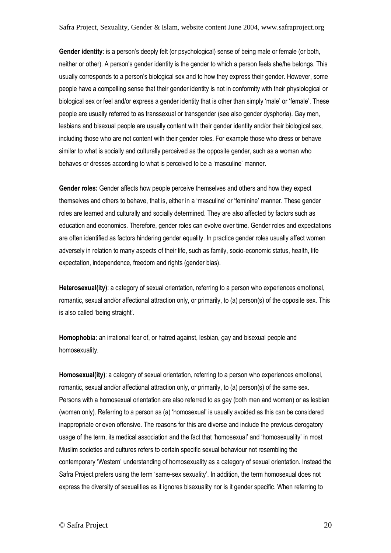**Gender identity**: is a person's deeply felt (or psychological) sense of being male or female (or both, neither or other). A person's gender identity is the gender to which a person feels she/he belongs. This usually corresponds to a person's biological sex and to how they express their gender. However, some people have a compelling sense that their gender identity is not in conformity with their physiological or biological sex or feel and/or express a gender identity that is other than simply 'male' or 'female'. These people are usually referred to as transsexual or transgender (see also gender dysphoria). Gay men, lesbians and bisexual people are usually content with their gender identity and/or their biological sex, including those who are not content with their gender roles. For example those who dress or behave similar to what is socially and culturally perceived as the opposite gender, such as a woman who behaves or dresses according to what is perceived to be a 'masculine' manner.

**Gender roles:** Gender affects how people perceive themselves and others and how they expect themselves and others to behave, that is, either in a 'masculine' or 'feminine' manner. These gender roles are learned and culturally and socially determined. They are also affected by factors such as education and economics. Therefore, gender roles can evolve over time. Gender roles and expectations are often identified as factors hindering gender equality. In practice gender roles usually affect women adversely in relation to many aspects of their life, such as family, socio-economic status, health, life expectation, independence, freedom and rights (gender bias).

**Heterosexual(ity)**: a category of sexual orientation, referring to a person who experiences emotional, romantic, sexual and/or affectional attraction only, or primarily, to (a) person(s) of the opposite sex. This is also called 'being straight'.

**Homophobia:** an irrational fear of, or hatred against, lesbian, gay and bisexual people and homosexuality.

**Homosexual(ity)**: a category of sexual orientation, referring to a person who experiences emotional, romantic, sexual and/or affectional attraction only, or primarily, to (a) person(s) of the same sex. Persons with a homosexual orientation are also referred to as gay (both men and women) or as lesbian (women only). Referring to a person as (a) 'homosexual' is usually avoided as this can be considered inappropriate or even offensive. The reasons for this are diverse and include the previous derogatory usage of the term, its medical association and the fact that 'homosexual' and 'homosexuality' in most Muslim societies and cultures refers to certain specific sexual behaviour not resembling the contemporary 'Western' understanding of homosexuality as a category of sexual orientation. Instead the Safra Project prefers using the term 'same-sex sexuality'. In addition, the term homosexual does not express the diversity of sexualities as it ignores bisexuality nor is it gender specific. When referring to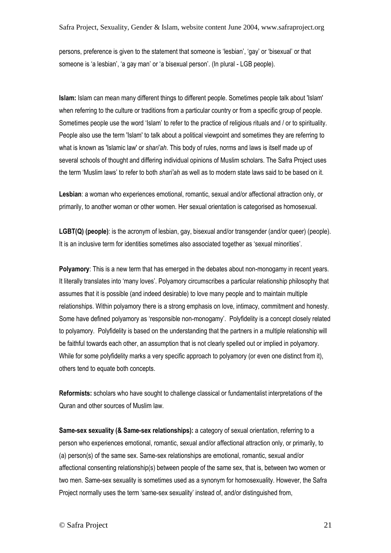persons, preference is given to the statement that someone is 'lesbian', 'gay' or 'bisexual' or that someone is 'a lesbian', 'a gay man' or 'a bisexual person'. (In plural - LGB people).

**Islam:** Islam can mean many different things to different people. Sometimes people talk about 'Islam' when referring to the culture or traditions from a particular country or from a specific group of people. Sometimes people use the word 'Islam' to refer to the practice of religious rituals and / or to spirituality. People also use the term 'Islam' to talk about a political viewpoint and sometimes they are referring to what is known as 'Islamic law' or *shari'ah*. This body of rules, norms and laws is itself made up of several schools of thought and differing individual opinions of Muslim scholars. The Safra Project uses the term 'Muslim laws' to refer to both *shari'ah* as well as to modern state laws said to be based on it.

**Lesbian**: a woman who experiences emotional, romantic, sexual and/or affectional attraction only, or primarily, to another woman or other women. Her sexual orientation is categorised as homosexual.

**LGBT(Q) (people)**: is the acronym of lesbian, gay, bisexual and/or transgender (and/or queer) (people). It is an inclusive term for identities sometimes also associated together as 'sexual minorities'.

**Polyamory**: This is a new term that has emerged in the debates about non-monogamy in recent years. It literally translates into 'many loves'. Polyamory circumscribes a particular relationship philosophy that assumes that it is possible (and indeed desirable) to love many people and to maintain multiple relationships. Within polyamory there is a strong emphasis on love, intimacy, commitment and honesty. Some have defined polyamory as 'responsible non-monogamy'. Polyfidelity is a concept closely related to polyamory. Polyfidelity is based on the understanding that the partners in a multiple relationship will be faithful towards each other, an assumption that is not clearly spelled out or implied in polyamory. While for some polyfidelity marks a very specific approach to polyamory (or even one distinct from it), others tend to equate both concepts.

**Reformists:** scholars who have sought to challenge classical or fundamentalist interpretations of the Quran and other sources of Muslim law.

**Same-sex sexuality (& Same-sex relationships):** a category of sexual orientation, referring to a person who experiences emotional, romantic, sexual and/or affectional attraction only, or primarily, to (a) person(s) of the same sex. Same-sex relationships are emotional, romantic, sexual and/or affectional consenting relationship(s) between people of the same sex, that is, between two women or two men. Same-sex sexuality is sometimes used as a synonym for homosexuality. However, the Safra Project normally uses the term 'same-sex sexuality' instead of, and/or distinguished from,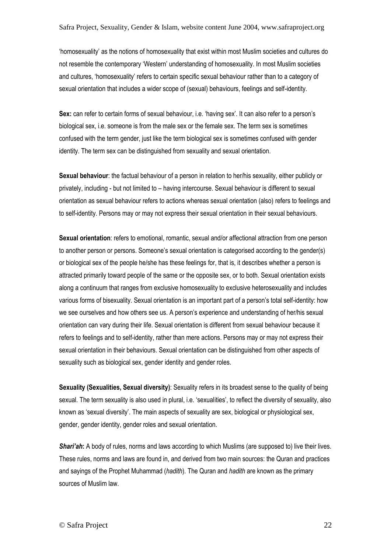'homosexuality' as the notions of homosexuality that exist within most Muslim societies and cultures do not resemble the contemporary 'Western' understanding of homosexuality. In most Muslim societies and cultures, 'homosexuality' refers to certain specific sexual behaviour rather than to a category of sexual orientation that includes a wider scope of (sexual) behaviours, feelings and self-identity.

**Sex:** can refer to certain forms of sexual behaviour, i.e. 'having sex'. It can also refer to a person's biological sex, i.e. someone is from the male sex or the female sex. The term sex is sometimes confused with the term gender, just like the term biological sex is sometimes confused with gender identity. The term sex can be distinguished from sexuality and sexual orientation.

**Sexual behaviour**: the factual behaviour of a person in relation to her/his sexuality, either publicly or privately, including - but not limited to – having intercourse. Sexual behaviour is different to sexual orientation as sexual behaviour refers to actions whereas sexual orientation (also) refers to feelings and to self-identity. Persons may or may not express their sexual orientation in their sexual behaviours.

**Sexual orientation**: refers to emotional, romantic, sexual and/or affectional attraction from one person to another person or persons. Someone's sexual orientation is categorised according to the gender(s) or biological sex of the people he/she has these feelings for, that is, it describes whether a person is attracted primarily toward people of the same or the opposite sex, or to both. Sexual orientation exists along a continuum that ranges from exclusive homosexuality to exclusive heterosexuality and includes various forms of bisexuality. Sexual orientation is an important part of a person's total self-identity: how we see ourselves and how others see us. A person's experience and understanding of her/his sexual orientation can vary during their life. Sexual orientation is different from sexual behaviour because it refers to feelings and to self-identity, rather than mere actions. Persons may or may not express their sexual orientation in their behaviours. Sexual orientation can be distinguished from other aspects of sexuality such as biological sex, gender identity and gender roles.

**Sexuality (Sexualities, Sexual diversity)**: Sexuality refers in its broadest sense to the quality of being sexual. The term sexuality is also used in plural, i.e. 'sexualities', to reflect the diversity of sexuality, also known as 'sexual diversity'. The main aspects of sexuality are sex, biological or physiological sex, gender, gender identity, gender roles and sexual orientation.

*Shari'ah***:** A body of rules, norms and laws according to which Muslims (are supposed to) live their lives. These rules, norms and laws are found in, and derived from two main sources: the Quran and practices and sayings of the Prophet Muhammad (*hadith*). The Quran and *hadith* are known as the primary sources of Muslim law.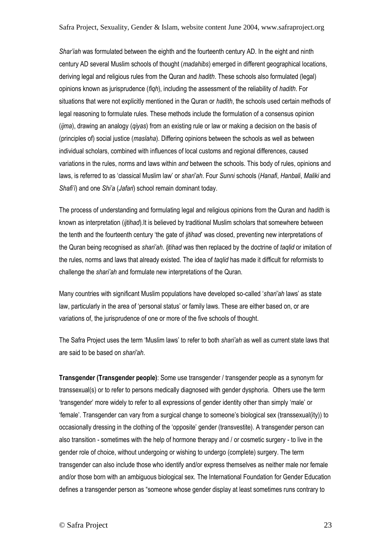*Shar'iah* was formulated between the eighth and the fourteenth century AD. In the eight and ninth century AD several Muslim schools of thought (*madahibs*) emerged in different geographical locations, deriving legal and religious rules from the Quran and *hadith*. These schools also formulated (legal) opinions known as jurisprudence (*fiqh*), including the assessment of the reliability of *hadith*. For situations that were not explicitly mentioned in the Quran or *hadith*, the schools used certain methods of legal reasoning to formulate rules. These methods include the formulation of a consensus opinion (*ijma*), drawing an analogy (*qiyas*) from an existing rule or law or making a decision on the basis of (principles of) social justice (*maslaha*). Differing opinions between the schools as well as between individual scholars, combined with influences of local customs and regional differences, caused variations in the rules, norms and laws within *and* between the schools. This body of rules, opinions and laws, is referred to as 'classical Muslim law' or *shari'ah*. Four *Sunni* schools (*Hanafi*, *Hanbali*, *Maliki* and *Shafi'i*) and one *Shi'a* (*Jafari*) school remain dominant today.

The process of understanding and formulating legal and religious opinions from the Quran and *hadith* is known as interpretation (*ijtihad*).It is believed by traditional Muslim scholars that somewhere between the tenth and the fourteenth century 'the gate of *ijtihad*' was closed, preventing new interpretations of the Quran being recognised as *shari'ah*. *Ijtihad* was then replaced by the doctrine of *taqlid* or imitation of the rules, norms and laws that already existed. The idea of *taqlid* has made it difficult for reformists to challenge the *shari'ah* and formulate new interpretations of the Quran.

Many countries with significant Muslim populations have developed so-called '*shari'ah* laws' as state law, particularly in the area of 'personal status' or family laws. These are either based on, or are variations of, the jurisprudence of one or more of the five schools of thought.

The Safra Project uses the term 'Muslim laws' to refer to both *shari'ah* as well as current state laws that are said to be based on *shari'ah*.

**Transgender (Transgender people)**: Some use transgender / transgender people as a synonym for transsexual(s) or to refer to persons medically diagnosed with gender dysphoria. Others use the term 'transgender' more widely to refer to all expressions of gender identity other than simply 'male' or 'female'. Transgender can vary from a surgical change to someone's biological sex (transsexual(ity)) to occasionally dressing in the clothing of the 'opposite' gender (transvestite). A transgender person can also transition - sometimes with the help of hormone therapy and / or cosmetic surgery - to live in the gender role of choice, without undergoing or wishing to undergo (complete) surgery. The term transgender can also include those who identify and/or express themselves as neither male nor female and/or those born with an ambiguous biological sex. The International Foundation for Gender Education defines a transgender person as "someone whose gender display at least sometimes runs contrary to